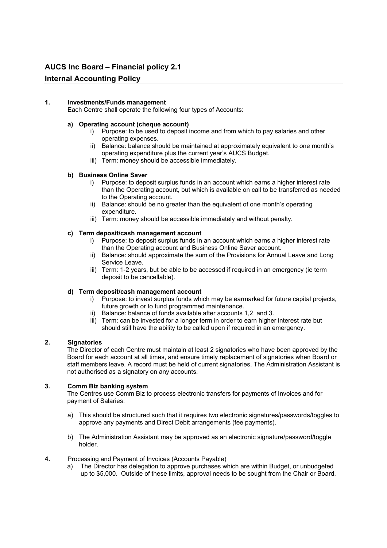# **AUCS Inc Board – Financial policy 2.1**

## **Internal Accounting Policy**

## **1. Investments/Funds management**

Each Centre shall operate the following four types of Accounts:

## **a) Operating account (cheque account)**

- i) Purpose: to be used to deposit income and from which to pay salaries and other operating expenses.
- ii) Balance: balance should be maintained at approximately equivalent to one month's operating expenditure plus the current year's AUCS Budget.
- iii) Term: money should be accessible immediately.

## **b) Business Online Saver**

- i) Purpose: to deposit surplus funds in an account which earns a higher interest rate than the Operating account, but which is available on call to be transferred as needed to the Operating account.
- ii) Balance: should be no greater than the equivalent of one month's operating expenditure.
- iii) Term: money should be accessible immediately and without penalty.

## **c) Term deposit/cash management account**

- i) Purpose: to deposit surplus funds in an account which earns a higher interest rate than the Operating account and Business Online Saver account.
- ii) Balance: should approximate the sum of the Provisions for Annual Leave and Long Service Leave.
- iii) Term: 1-2 years, but be able to be accessed if required in an emergency (ie term deposit to be cancellable).

## **d) Term deposit/cash management account**

- i) Purpose: to invest surplus funds which may be earmarked for future capital projects, future growth or to fund programmed maintenance.
- ii) Balance: balance of funds available after accounts 1,2 and 3.
- iii) Term: can be invested for a longer term in order to earn higher interest rate but should still have the ability to be called upon if required in an emergency.

## **2. Signatories**

The Director of each Centre must maintain at least 2 signatories who have been approved by the Board for each account at all times, and ensure timely replacement of signatories when Board or staff members leave. A record must be held of current signatories. The Administration Assistant is not authorised as a signatory on any accounts.

## **3. Comm Biz banking system**

The Centres use Comm Biz to process electronic transfers for payments of Invoices and for payment of Salaries:

- a) This should be structured such that it requires two electronic signatures/passwords/toggles to approve any payments and Direct Debit arrangements (fee payments).
- b) The Administration Assistant may be approved as an electronic signature/password/toggle holder.
- **4.** Processing and Payment of Invoices (Accounts Payable)
	- a) The Director has delegation to approve purchases which are within Budget, or unbudgeted up to \$5,000. Outside of these limits, approval needs to be sought from the Chair or Board.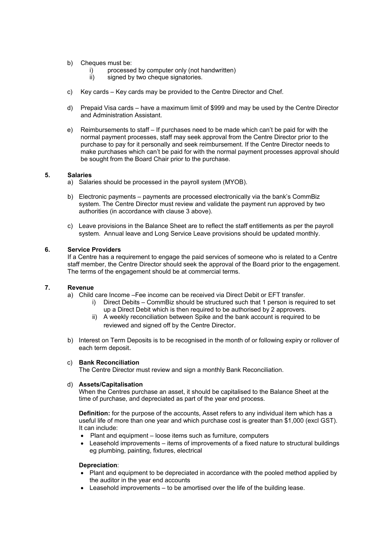- b) Cheques must be:
	- i) processed by computer only (not handwritten)
	- ii) signed by two cheque signatories.
- c) Key cards Key cards may be provided to the Centre Director and Chef.
- d) Prepaid Visa cards have a maximum limit of \$999 and may be used by the Centre Director and Administration Assistant.
- e) Reimbursements to staff If purchases need to be made which can't be paid for with the normal payment processes, staff may seek approval from the Centre Director prior to the purchase to pay for it personally and seek reimbursement. If the Centre Director needs to make purchases which can't be paid for with the normal payment processes approval should be sought from the Board Chair prior to the purchase.

### **5. Salaries**

- a) Salaries should be processed in the payroll system (MYOB).
- b) Electronic payments payments are processed electronically via the bank's CommBiz system. The Centre Director must review and validate the payment run approved by two authorities (in accordance with clause 3 above).
- c) Leave provisions in the Balance Sheet are to reflect the staff entitlements as per the payroll system. Annual leave and Long Service Leave provisions should be updated monthly.

#### **6. Service Providers**

If a Centre has a requirement to engage the paid services of someone who is related to a Centre staff member, the Centre Director should seek the approval of the Board prior to the engagement. The terms of the engagement should be at commercial terms.

#### **7. Revenue**

a) Child care Income –Fee income can be received via Direct Debit or EFT transfer.

- i) Direct Debits CommBiz should be structured such that 1 person is required to set up a Direct Debit which is then required to be authorised by 2 approvers.
- ii) A weekly reconciliation between Spike and the bank account is required to be reviewed and signed off by the Centre Director.
- b) Interest on Term Deposits is to be recognised in the month of or following expiry or rollover of each term deposit.

#### c) **Bank Reconciliation**

The Centre Director must review and sign a monthly Bank Reconciliation.

## d) **Assets/Capitalisation**

When the Centres purchase an asset, it should be capitalised to the Balance Sheet at the time of purchase, and depreciated as part of the year end process.

**Definition:** for the purpose of the accounts, Asset refers to any individual item which has a useful life of more than one year and which purchase cost is greater than \$1,000 (excl GST). It can include:

- Plant and equipment loose items such as furniture, computers
- Leasehold improvements items of improvements of a fixed nature to structural buildings eg plumbing, painting, fixtures, electrical

#### **Depreciation**:

- Plant and equipment to be depreciated in accordance with the pooled method applied by the auditor in the year end accounts
- Leasehold improvements to be amortised over the life of the building lease.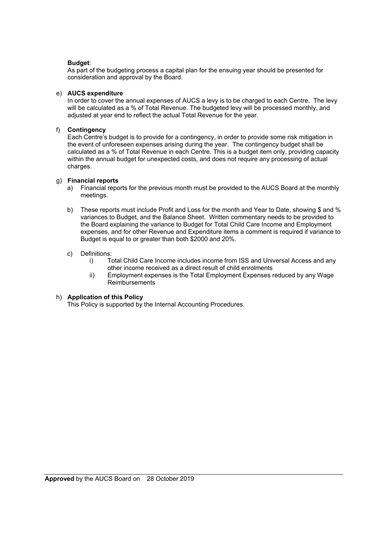## **Budget**:

As part of the budgeting process a capital plan for the ensuing year should be presented for consideration and approval by the Board.

## e) **AUCS expenditure**

In order to cover the annual expenses of AUCS a levy is to be charged to each Centre. The levy will be calculated as a % of Total Revenue. The budgeted levy will be processed monthly, and adjusted at year end to reflect the actual Total Revenue for the year.

## f) **Contingency**

Each Centre's budget is to provide for a contingency, in order to provide some risk mitigation in the event of unforeseen expenses arising during the year. The contingency budget shall be calculated as a % of Total Revenue in each Centre. This is a budget item only, providing capacity within the annual budget for unexpected costs, and does not require any processing of actual charges.

## g) **Financial reports**

- a) Financial reports for the previous month must be provided to the AUCS Board at the monthly meetings.
- b) These reports must include Profit and Loss for the month and Year to Date, showing \$ and % variances to Budget, and the Balance Sheet. Written commentary needs to be provided to the Board explaining the variance to Budget for Total Child Care Income and Employment expenses, and for other Revenue and Expenditure items a comment is required if variance to Budget is equal to or greater than both \$2000 and 20%.

## c) Definitions:

- i) Total Child Care Income includes income from ISS and Universal Access and any other income received as a direct result of child enrolments
- ii) Employment expenses is the Total Employment Expenses reduced by any Wage **Reimbursements**

## h) **Application of this Policy**

This Policy is supported by the Internal Accounting Procedures.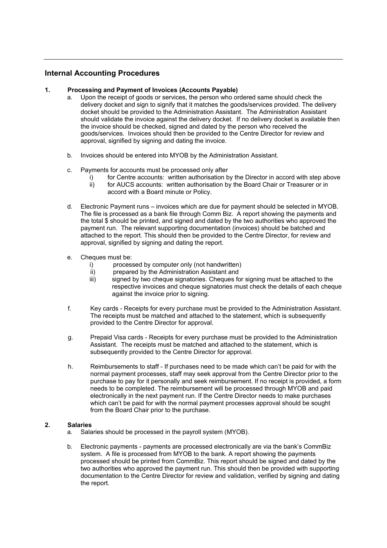# **Internal Accounting Procedures**

## **1. Processing and Payment of Invoices (Accounts Payable)**

- a. Upon the receipt of goods or services, the person who ordered same should check the delivery docket and sign to signify that it matches the goods/services provided. The delivery docket should be provided to the Administration Assistant. The Administration Assistant should validate the invoice against the delivery docket. If no delivery docket is available then the invoice should be checked, signed and dated by the person who received the goods/services. Invoices should then be provided to the Centre Director for review and approval, signified by signing and dating the invoice.
- b. Invoices should be entered into MYOB by the Administration Assistant.
- c. Payments for accounts must be processed only after
	- i) for Centre accounts: written authorisation by the Director in accord with step above ii) for AUCS accounts: written authorisation by the Board Chair or Treasurer or in
		- accord with a Board minute or Policy.
- d. Electronic Payment runs invoices which are due for payment should be selected in MYOB. The file is processed as a bank file through Comm Biz. A report showing the payments and the total \$ should be printed, and signed and dated by the two authorities who approved the payment run. The relevant supporting documentation (invoices) should be batched and attached to the report. This should then be provided to the Centre Director, for review and approval, signified by signing and dating the report.
- e. Cheques must be:
	- i) processed by computer only (not handwritten)
	- ii) prepared by the Administration Assistant and
	- iii) signed by two cheque signatories. Cheques for signing must be attached to the respective invoices and cheque signatories must check the details of each cheque against the invoice prior to signing.
- f. Key cards Receipts for every purchase must be provided to the Administration Assistant. The receipts must be matched and attached to the statement, which is subsequently provided to the Centre Director for approval.
- g. Prepaid Visa cards Receipts for every purchase must be provided to the Administration Assistant. The receipts must be matched and attached to the statement, which is subsequently provided to the Centre Director for approval.
- h. Reimbursements to staff If purchases need to be made which can't be paid for with the normal payment processes, staff may seek approval from the Centre Director prior to the purchase to pay for it personally and seek reimbursement. If no receipt is provided, a form needs to be completed. The reimbursement will be processed through MYOB and paid electronically in the next payment run. If the Centre Director needs to make purchases which can't be paid for with the normal payment processes approval should be sought from the Board Chair prior to the purchase.

## **2. Salaries**

- a. Salaries should be processed in the payroll system (MYOB).
- b. Electronic payments payments are processed electronically are via the bank's CommBiz system. A file is processed from MYOB to the bank. A report showing the payments processed should be printed from CommBiz. This report should be signed and dated by the two authorities who approved the payment run. This should then be provided with supporting documentation to the Centre Director for review and validation, verified by signing and dating the report.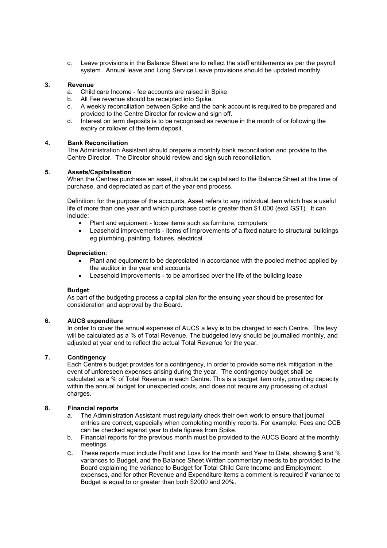c. Leave provisions in the Balance Sheet are to reflect the staff entitlements as per the payroll system. Annual leave and Long Service Leave provisions should be updated monthly.

## **3. Revenue**

- a. Child care Income fee accounts are raised in Spike.
- b. All Fee revenue should be receipted into Spike.
- c. A weekly reconciliation between Spike and the bank account is required to be prepared and provided to the Centre Director for review and sign off.
- d. Interest on term deposits is to be recognised as revenue in the month of or following the expiry or rollover of the term deposit.

## **4. Bank Reconciliation**

The Administration Assistant should prepare a monthly bank reconciliation and provide to the Centre Director. The Director should review and sign such reconciliation.

## **5. Assets/Capitalisation**

When the Centres purchase an asset, it should be capitalised to the Balance Sheet at the time of purchase, and depreciated as part of the year end process.

Definition: for the purpose of the accounts, Asset refers to any individual item which has a useful life of more than one year and which purchase cost is greater than \$1,000 (excl GST). It can include:

- Plant and equipment loose items such as furniture, computers
- Leasehold improvements items of improvements of a fixed nature to structural buildings eg plumbing, painting, fixtures, electrical

## **Depreciation**:

- Plant and equipment to be depreciated in accordance with the pooled method applied by the auditor in the year end accounts
- Leasehold improvements to be amortised over the life of the building lease

## **Budget**:

As part of the budgeting process a capital plan for the ensuing year should be presented for consideration and approval by the Board.

## **6. AUCS expenditure**

In order to cover the annual expenses of AUCS a levy is to be charged to each Centre. The levy will be calculated as a % of Total Revenue. The budgeted levy should be journalled monthly, and adjusted at year end to reflect the actual Total Revenue for the year.

## **7. Contingency**

Each Centre's budget provides for a contingency, in order to provide some risk mitigation in the event of unforeseen expenses arising during the year. The contingency budget shall be calculated as a % of Total Revenue in each Centre. This is a budget item only, providing capacity within the annual budget for unexpected costs, and does not require any processing of actual charges.

## **8. Financial reports**

- a. The Administration Assistant must regularly check their own work to ensure that journal entries are correct, especially when completing monthly reports. For example: Fees and CCB can be checked against year to date figures from Spike.
- b. Financial reports for the previous month must be provided to the AUCS Board at the monthly meetings
- c. These reports must include Profit and Loss for the month and Year to Date, showing \$ and % variances to Budget, and the Balance Sheet Written commentary needs to be provided to the Board explaining the variance to Budget for Total Child Care Income and Employment expenses, and for other Revenue and Expenditure items a comment is required if variance to Budget is equal to or greater than both \$2000 and 20%.